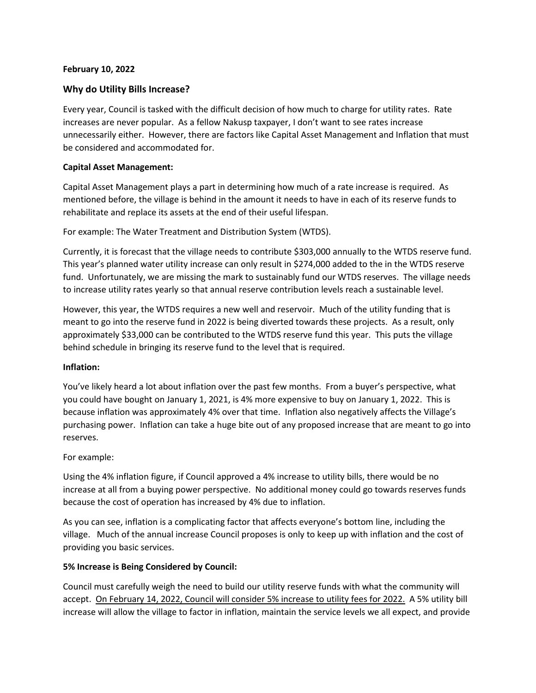### **February 10, 2022**

# **Why do Utility Bills Increase?**

Every year, Council is tasked with the difficult decision of how much to charge for utility rates. Rate increases are never popular. As a fellow Nakusp taxpayer, I don't want to see rates increase unnecessarily either. However, there are factors like Capital Asset Management and Inflation that must be considered and accommodated for.

### **Capital Asset Management:**

Capital Asset Management plays a part in determining how much of a rate increase is required. As mentioned before, the village is behind in the amount it needs to have in each of its reserve funds to rehabilitate and replace its assets at the end of their useful lifespan.

For example: The Water Treatment and Distribution System (WTDS).

Currently, it is forecast that the village needs to contribute \$303,000 annually to the WTDS reserve fund. This year's planned water utility increase can only result in \$274,000 added to the in the WTDS reserve fund. Unfortunately, we are missing the mark to sustainably fund our WTDS reserves. The village needs to increase utility rates yearly so that annual reserve contribution levels reach a sustainable level.

However, this year, the WTDS requires a new well and reservoir. Much of the utility funding that is meant to go into the reserve fund in 2022 is being diverted towards these projects. As a result, only approximately \$33,000 can be contributed to the WTDS reserve fund this year. This puts the village behind schedule in bringing its reserve fund to the level that is required.

#### **Inflation:**

You've likely heard a lot about inflation over the past few months. From a buyer's perspective, what you could have bought on January 1, 2021, is 4% more expensive to buy on January 1, 2022. This is because inflation was approximately 4% over that time. Inflation also negatively affects the Village's purchasing power. Inflation can take a huge bite out of any proposed increase that are meant to go into reserves.

## For example:

Using the 4% inflation figure, if Council approved a 4% increase to utility bills, there would be no increase at all from a buying power perspective. No additional money could go towards reserves funds because the cost of operation has increased by 4% due to inflation.

As you can see, inflation is a complicating factor that affects everyone's bottom line, including the village. Much of the annual increase Council proposes is only to keep up with inflation and the cost of providing you basic services.

#### **5% Increase is Being Considered by Council:**

Council must carefully weigh the need to build our utility reserve funds with what the community will accept. On February 14, 2022, Council will consider 5% increase to utility fees for 2022. A 5% utility bill increase will allow the village to factor in inflation, maintain the service levels we all expect, and provide